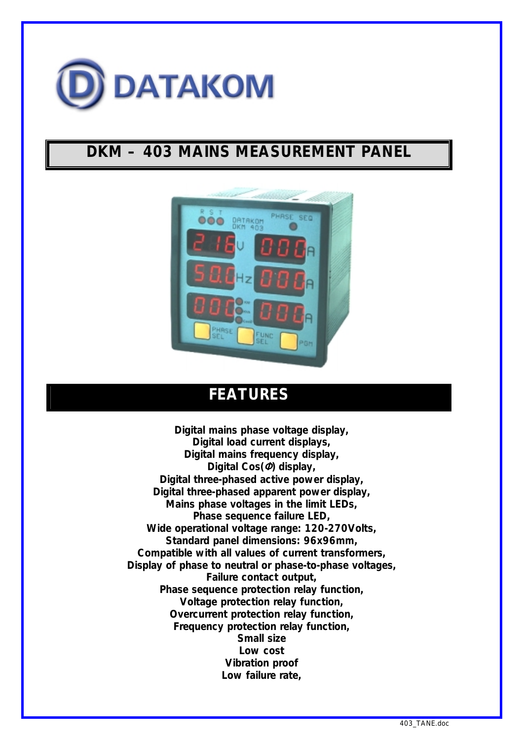

# **DKM – 403 MAINS MEASUREMENT PANEL**



## **FEATURES**

*Digital mains phase voltage display, Digital load current displays, Digital mains frequency display, Digital Cos(*Φ*) display, Digital three-phased active power display, Digital three-phased apparent power display, Mains phase voltages in the limit LEDs, Phase sequence failure LED, Wide operational voltage range: 120-270Volts, Standard panel dimensions: 96x96mm, Compatible with all values of current transformers, Display of phase to neutral or phase-to-phase voltages, Failure contact output, Phase sequence protection relay function, Voltage protection relay function, Overcurrent protection relay function, Frequency protection relay function, Small size Low cost Vibration proof Low failure rate,*